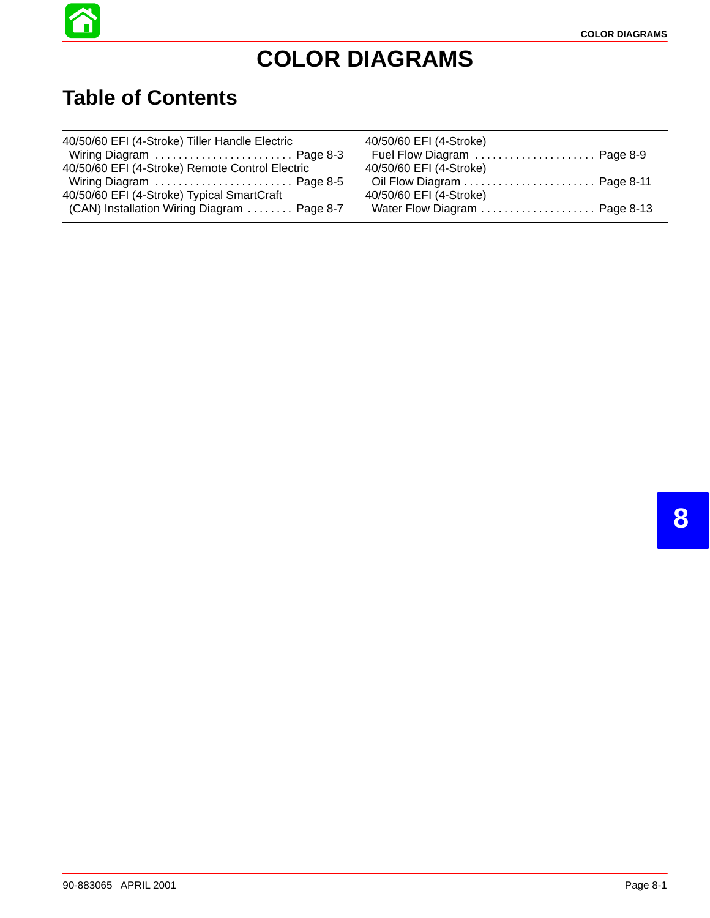

# **COLOR DIAGRAMS**

#### **Table of Contents**

| 40/50/60 EFI (4-Stroke) Tiller Handle Electric  | 40/50/60 EFI (4-Stroke)     |
|-------------------------------------------------|-----------------------------|
| Wiring Diagram  Page 8-3                        | Fuel Flow Diagram  Page 8-9 |
| 40/50/60 EFI (4-Stroke) Remote Control Electric | 40/50/60 EFI (4-Stroke)     |
| Wiring Diagram  Page 8-5                        |                             |
| 40/50/60 EFI (4-Stroke) Typical SmartCraft      | 40/50/60 EFI (4-Stroke)     |
| (CAN) Installation Wiring Diagram  Page 8-7     |                             |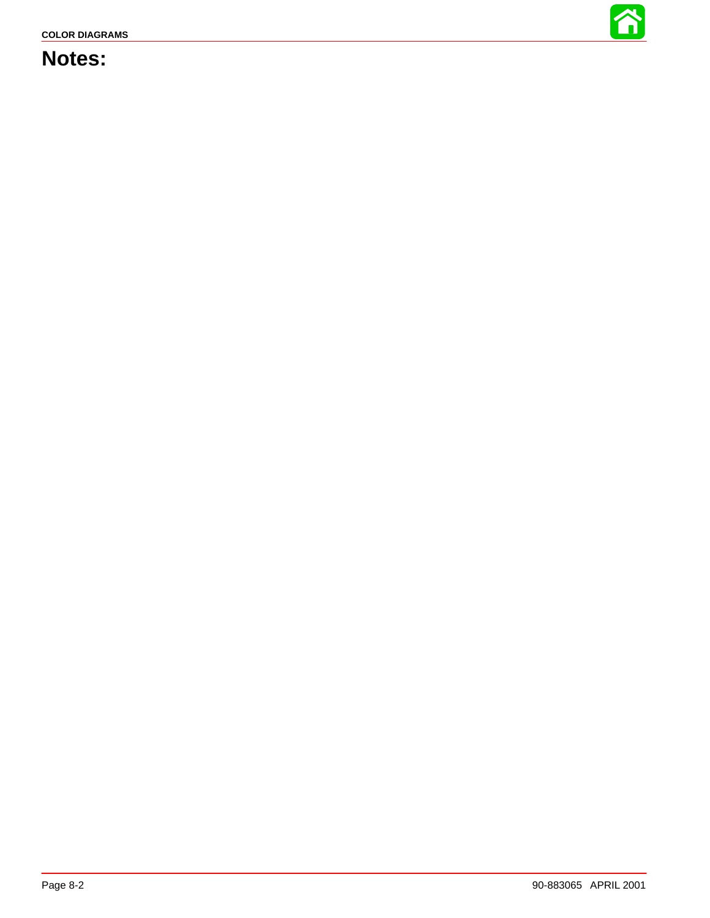

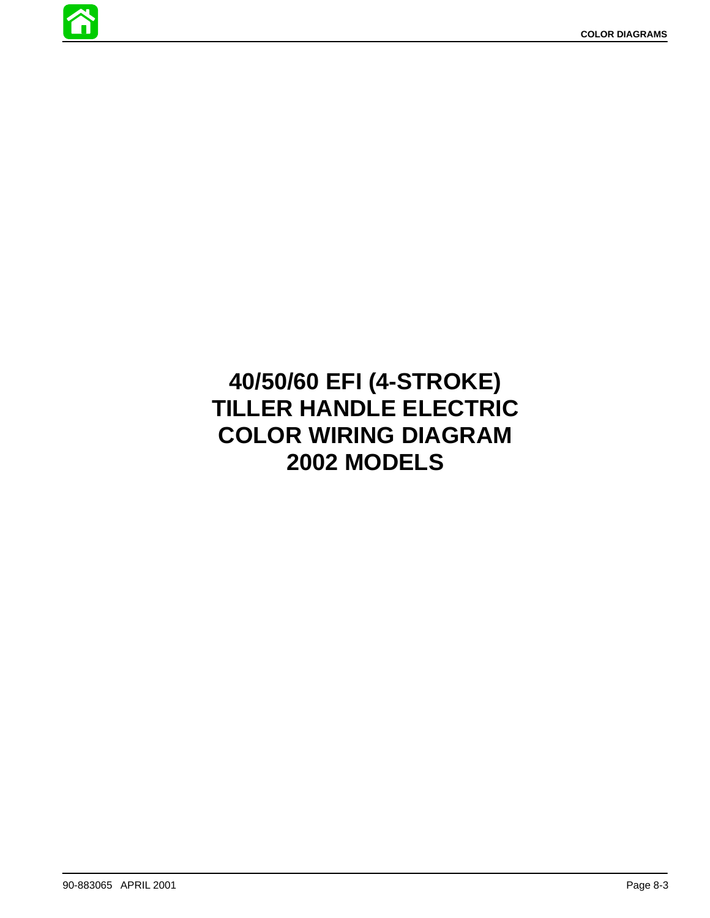

# **40/50/60 EFI (4-STROKE) TILLER HANDLE ELECTRIC COLOR WIRING DIAGRAM 2002 MODELS**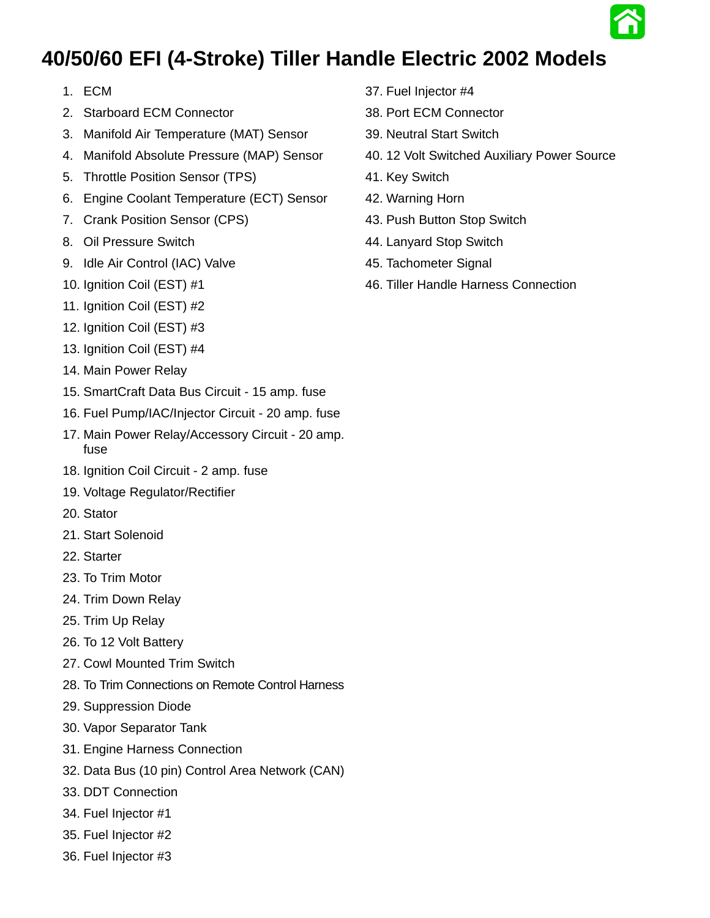

#### <span id="page-3-0"></span>**40/50/60 EFI (4-Stroke) Tiller Handle Electric 2002 Models**

- 1. ECM
- 2. Starboard ECM Connector
- 3. Manifold Air Temperature (MAT) Sensor
- 4. Manifold Absolute Pressure (MAP) Sensor
- 5. Throttle Position Sensor (TPS)
- 6. Engine Coolant Temperature (ECT) Sensor
- 7. Crank Position Sensor (CPS)
- 8. Oil Pressure Switch
- 9. Idle Air Control (IAC) Valve
- 10. Ignition Coil (EST) #1
- 11. Ignition Coil (EST) #2
- 12. Ignition Coil (EST) #3
- 13. Ignition Coil (EST) #4
- 14. Main Power Relay
- 15. SmartCraft Data Bus Circuit 15 amp. fuse
- 16. Fuel Pump/IAC/Injector Circuit 20 amp. fuse
- 17. Main Power Relay/Accessory Circuit 20 amp. fuse
- 18. Ignition Coil Circuit 2 amp. fuse
- 19. Voltage Regulator/Rectifier
- 20. Stator
- 21. Start Solenoid
- 22. Starter
- 23. To Trim Motor
- 24. Trim Down Relay
- 25. Trim Up Relay
- 26. To 12 Volt Battery
- 27. Cowl Mounted Trim Switch
- 28. To Trim Connections on Remote Control Harness
- 29. Suppression Diode
- 30. Vapor Separator Tank
- 31. Engine Harness Connection
- 32. Data Bus (10 pin) Control Area Network (CAN)
- 33. DDT Connection
- 34. Fuel Injector #1
- 35. Fuel Injector #2
- 36. Fuel Injector #3
- 37. Fuel Injector #4
- 38. Port ECM Connector
- 39. Neutral Start Switch
- 40. 12 Volt Switched Auxiliary Power Source
- 41. Key Switch
- 42. Warning Horn
- 43. Push Button Stop Switch
- 44. Lanyard Stop Switch
- 45. Tachometer Signal
- 46. Tiller Handle Harness Connection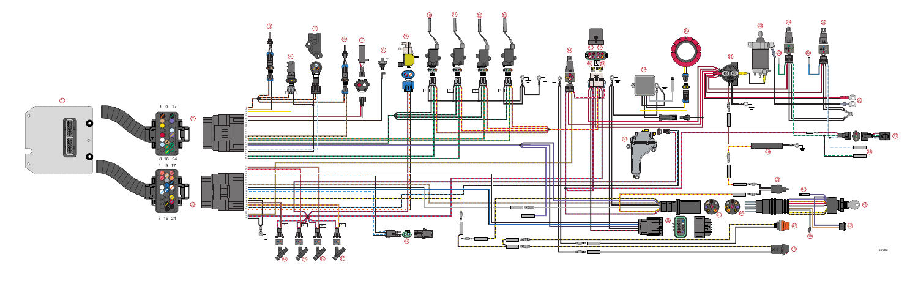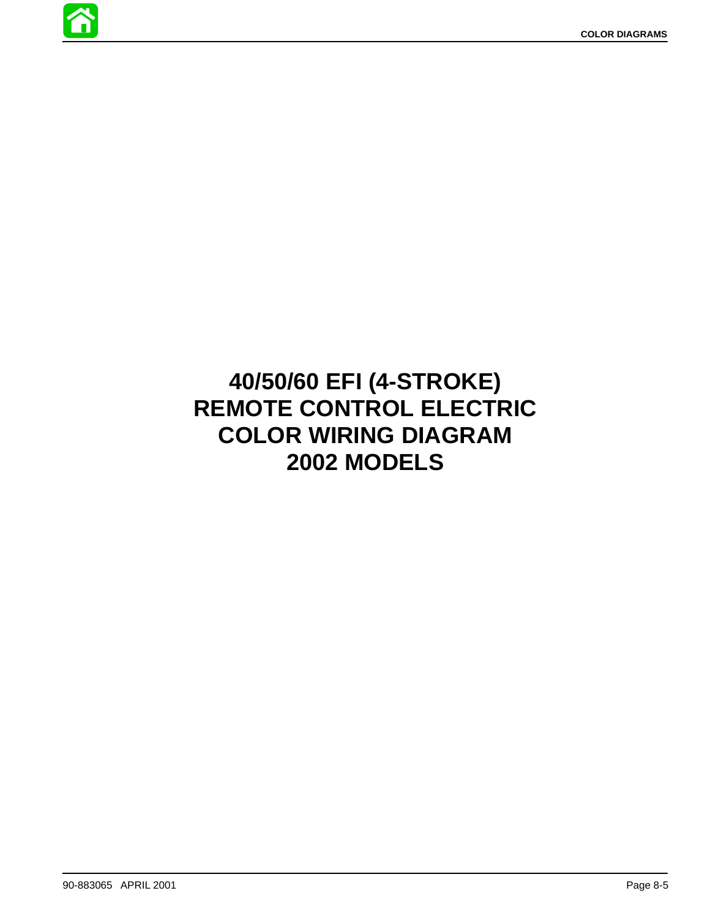

# **40/50/60 EFI (4-STROKE) REMOTE CONTROL ELECTRIC COLOR WIRING DIAGRAM 2002 MODELS**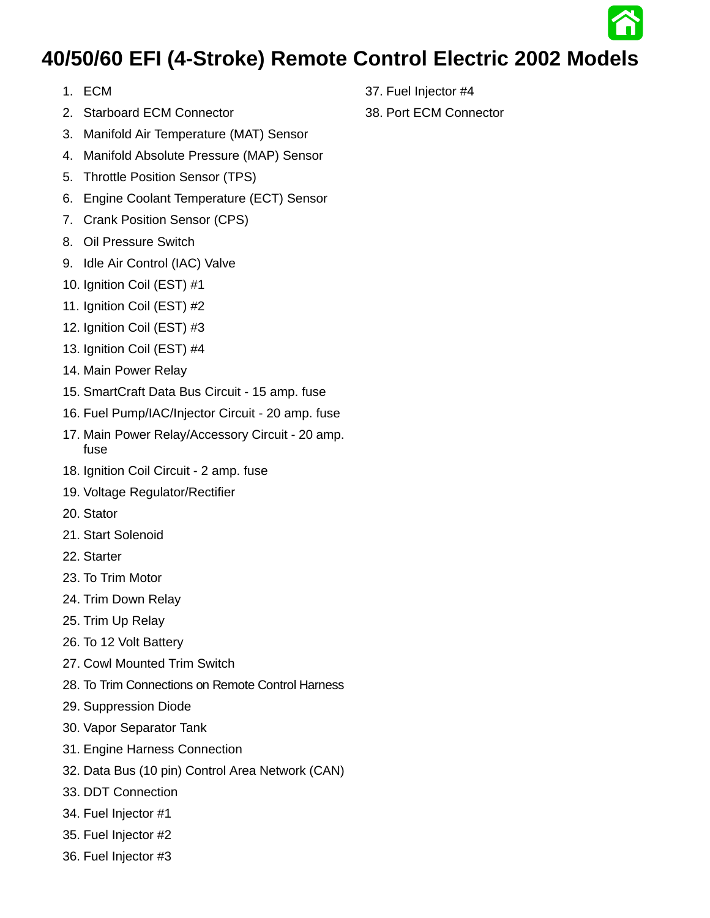## **40/50/60 EFI (4-Stroke) Remote Control Electric 2002 Models**

- 1. ECM
- 2. Starboard ECM Connector
- 3. Manifold Air Temperature (MAT) Sensor
- 4. Manifold Absolute Pressure (MAP) Sensor
- 5. Throttle Position Sensor (TPS)
- 6. Engine Coolant Temperature (ECT) Sensor
- 7. Crank Position Sensor (CPS)
- 8. Oil Pressure Switch
- 9. Idle Air Control (IAC) Valve
- 10. Ignition Coil (EST) #1
- 11. Ignition Coil (EST) #2
- 12. Ignition Coil (EST) #3
- 13. Ignition Coil (EST) #4
- 14. Main Power Relay
- 15. SmartCraft Data Bus Circuit 15 amp. fuse
- 16. Fuel Pump/IAC/Injector Circuit 20 amp. fuse
- 17. Main Power Relay/Accessory Circuit 20 amp. fuse
- 18. Ignition Coil Circuit 2 amp. fuse
- 19. Voltage Regulator/Rectifier
- 20. Stator
- 21. Start Solenoid
- 22. Starter
- 23. To Trim Motor
- 24. Trim Down Relay
- 25. Trim Up Relay
- 26. To 12 Volt Battery
- 27. Cowl Mounted Trim Switch
- 28. To Trim Connections on Remote Control Harness
- 29. Suppression Diode
- 30. Vapor Separator Tank
- 31. Engine Harness Connection
- 32. Data Bus (10 pin) Control Area Network (CAN)
- 33. DDT Connection
- 34. Fuel Injector #1
- 35. Fuel Injector #2
- 36. Fuel Injector #3
- 37. Fuel Injector #4
- 38. Port ECM Connector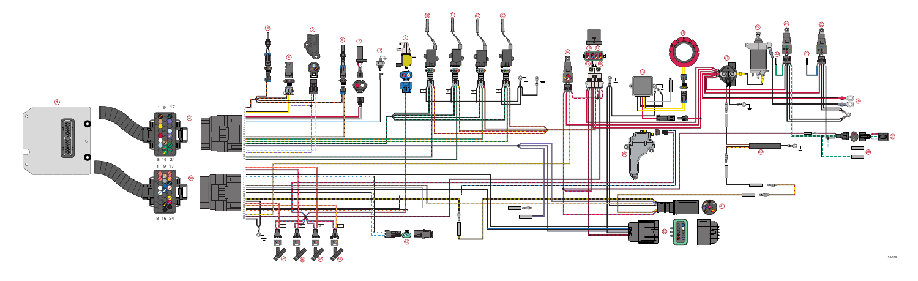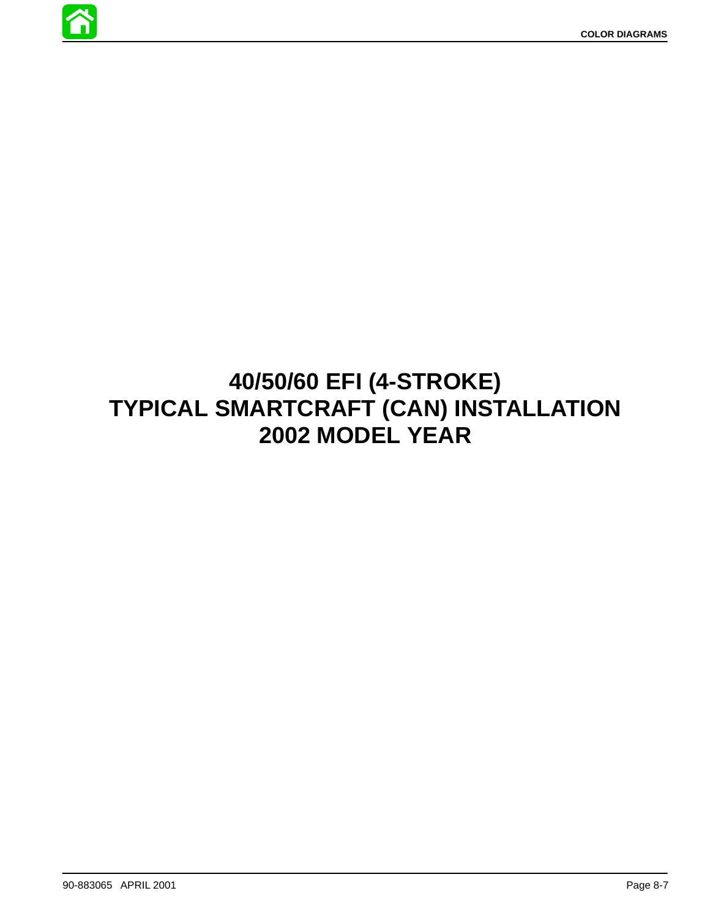

# **40/50/60 EFI (4-STROKE) TYPICAL SMARTCRAFT (CAN) INSTALLATION 2002 MODEL YEAR**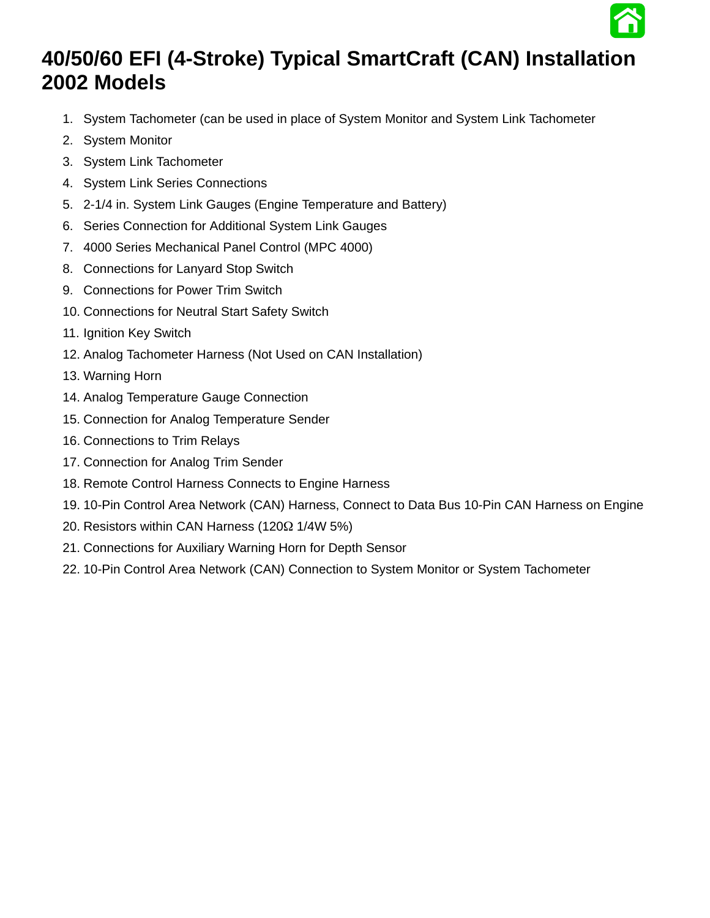

### **40/50/60 EFI (4-Stroke) Typical SmartCraft (CAN) Installation 2002 Models**

- 1. System Tachometer (can be used in place of System Monitor and System Link Tachometer
- 2. System Monitor
- 3. System Link Tachometer
- 4. System Link Series Connections
- 5. 2-1/4 in. System Link Gauges (Engine Temperature and Battery)
- 6. Series Connection for Additional System Link Gauges
- 7. 4000 Series Mechanical Panel Control (MPC 4000)
- 8. Connections for Lanyard Stop Switch
- 9. Connections for Power Trim Switch
- 10. Connections for Neutral Start Safety Switch
- 11. Ignition Key Switch
- 12. Analog Tachometer Harness (Not Used on CAN Installation)
- 13. Warning Horn
- 14. Analog Temperature Gauge Connection
- 15. Connection for Analog Temperature Sender
- 16. Connections to Trim Relays
- 17. Connection for Analog Trim Sender
- 18. Remote Control Harness Connects to Engine Harness
- 19. 10-Pin Control Area Network (CAN) Harness, Connect to Data Bus 10-Pin CAN Harness on Engine
- 20. Resistors within CAN Harness (120 $\Omega$  1/4W 5%)
- 21. Connections for Auxiliary Warning Horn for Depth Sensor
- 22. 10-Pin Control Area Network (CAN) Connection to System Monitor or System Tachometer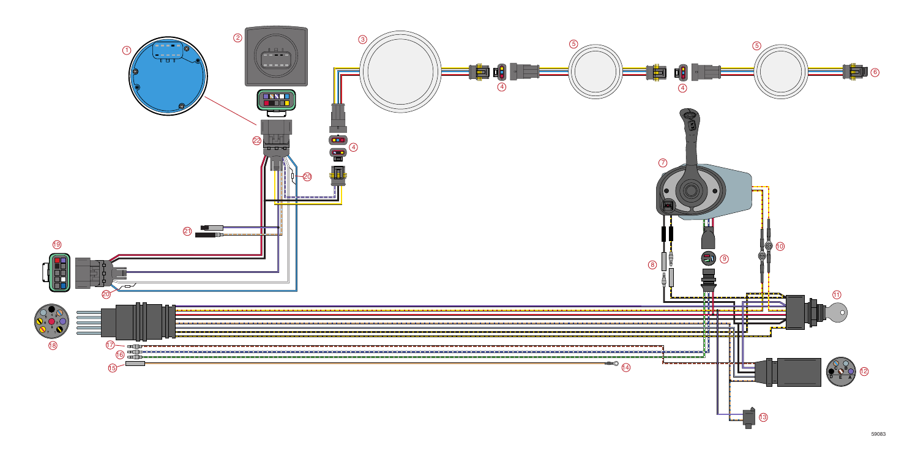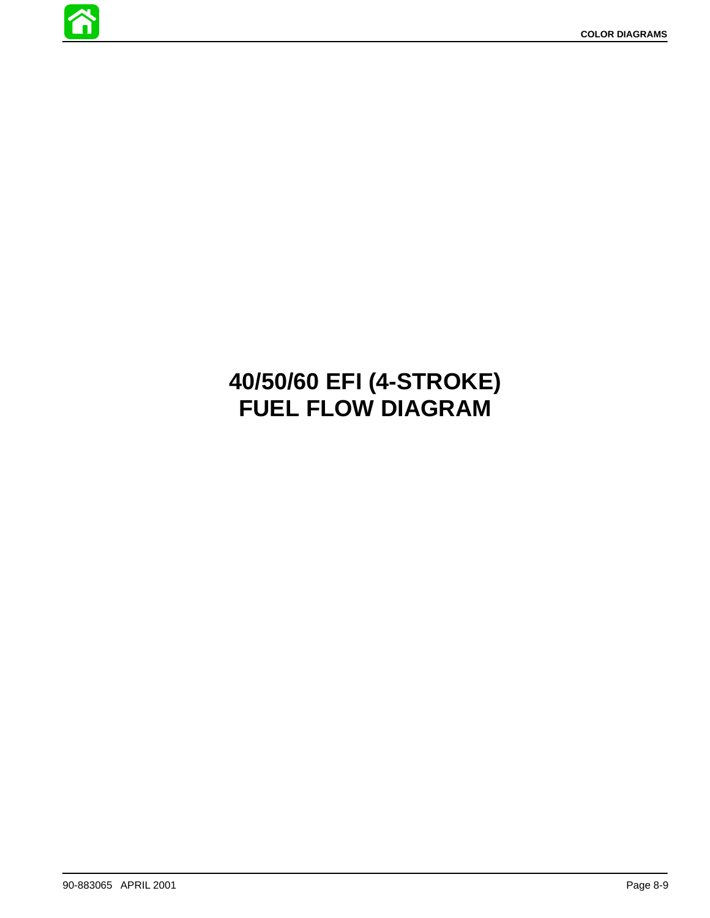

# **40/50/60 EFI (4-STROKE) FUEL FLOW DIAGRAM**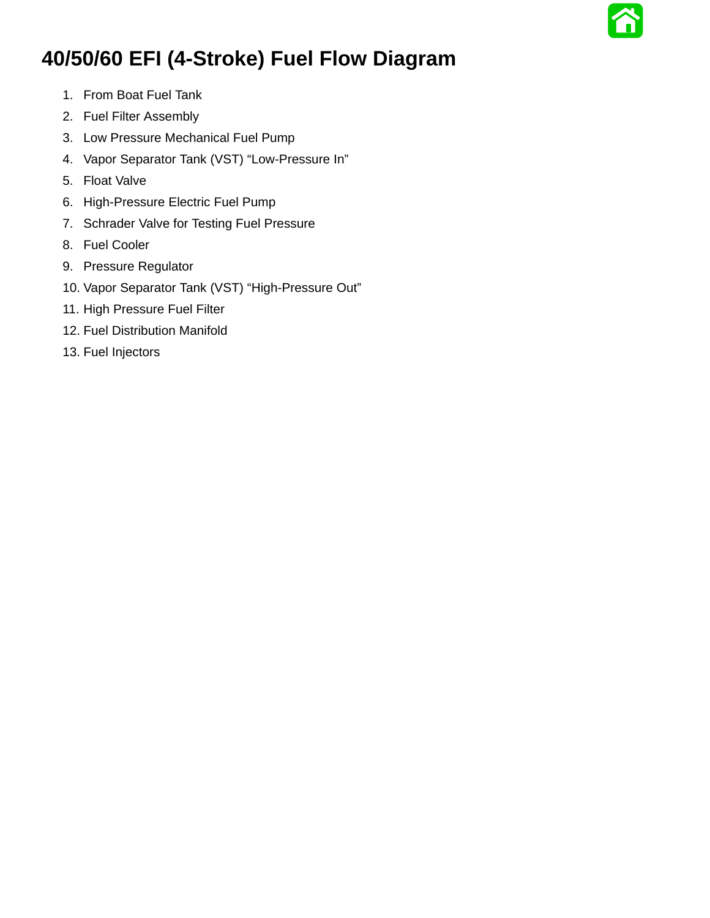## **40/50/60 EFI (4-Stroke) Fuel Flow Diagram**

- 1. From Boat Fuel Tank
- 2. Fuel Filter Assembly
- 3. Low Pressure Mechanical Fuel Pump
- 4. Vapor Separator Tank (VST) "Low-Pressure In"
- 5. Float Valve
- 6. High-Pressure Electric Fuel Pump
- 7. Schrader Valve for Testing Fuel Pressure
- 8. Fuel Cooler
- 9. Pressure Regulator
- 10. Vapor Separator Tank (VST) "High-Pressure Out"
- 11. High Pressure Fuel Filter
- 12. Fuel Distribution Manifold
- 13. Fuel Injectors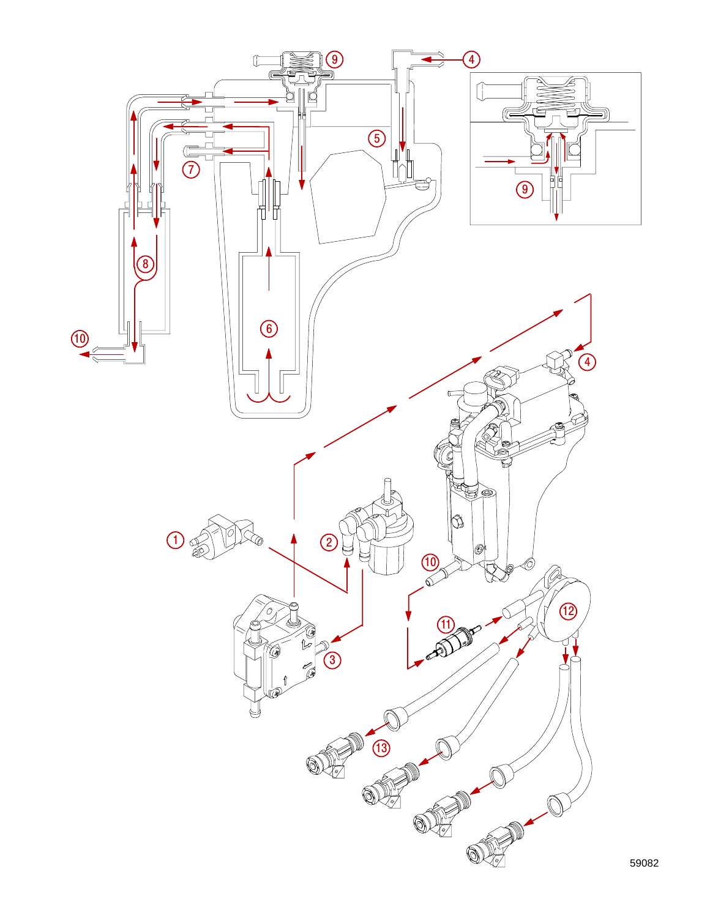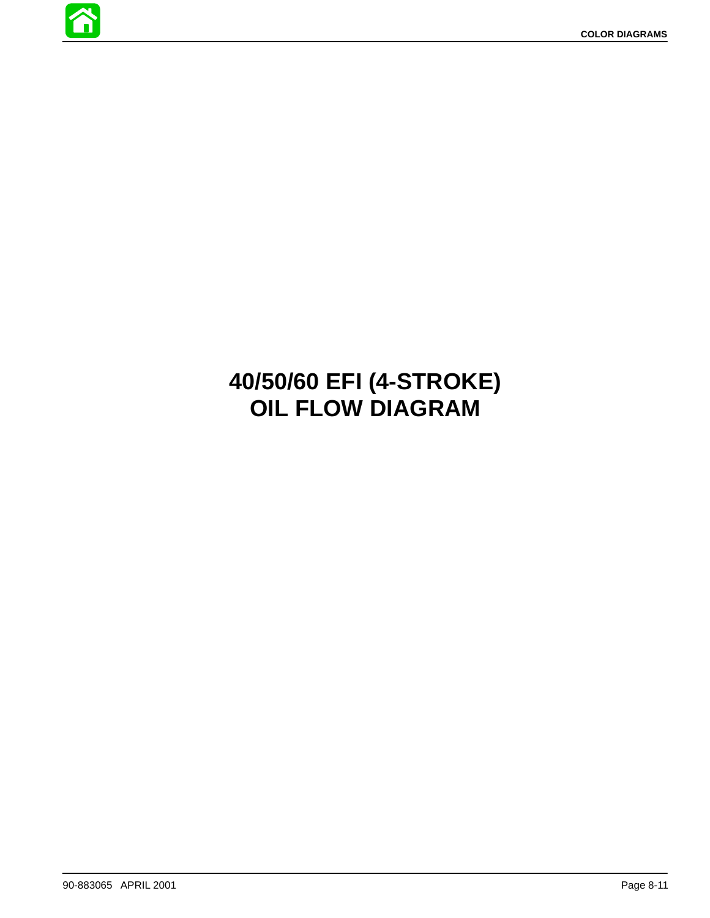

# **40/50/60 EFI (4-STROKE) OIL FLOW DIAGRAM**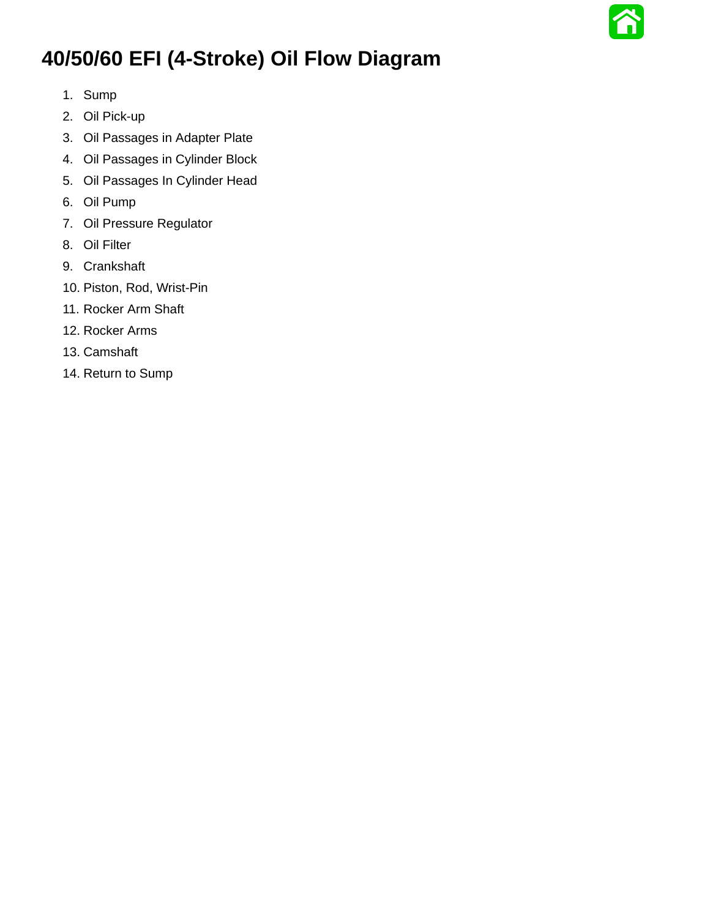

## **40/50/60 EFI (4-Stroke) Oil Flow Diagram**

- 1. Sump
- 2. Oil Pick-up
- 3. Oil Passages in Adapter Plate
- 4. Oil Passages in Cylinder Block
- 5. Oil Passages In Cylinder Head
- 6. Oil Pump
- 7. Oil Pressure Regulator
- 8. Oil Filter
- 9. Crankshaft
- 10. Piston, Rod, Wrist-Pin
- 11. Rocker Arm Shaft
- 12. Rocker Arms
- 13. Camshaft
- 14. Return to Sump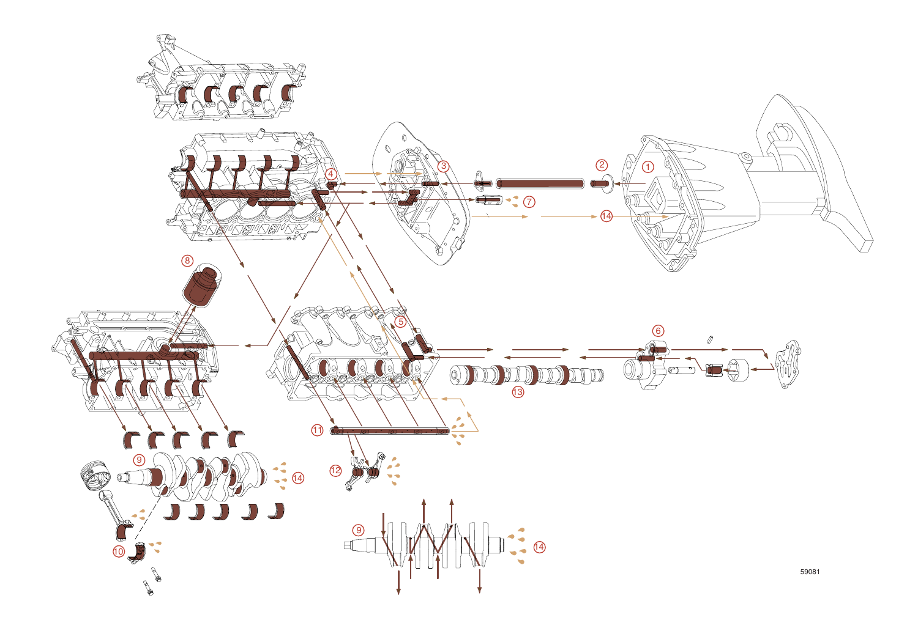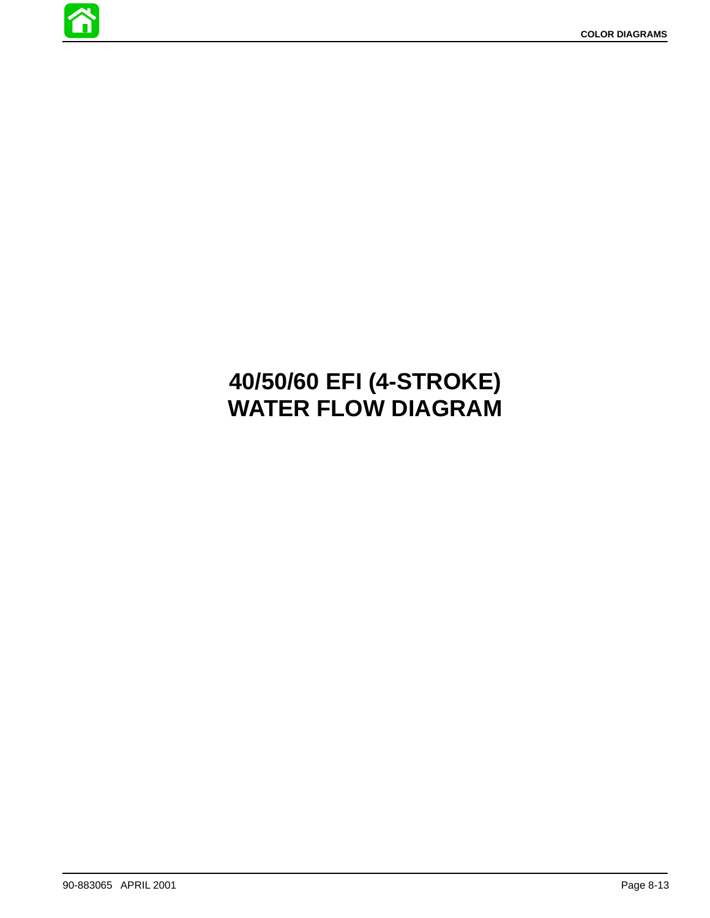

# **40/50/60 EFI (4-STROKE) WATER FLOW DIAGRAM**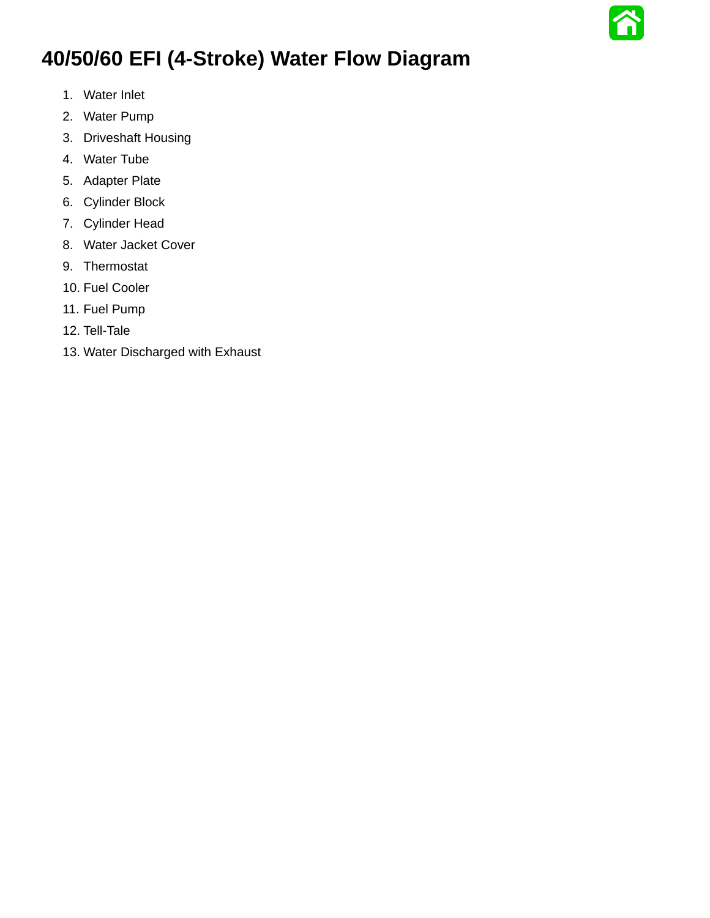## **40/50/60 EFI (4-Stroke) Water Flow Diagram**

- 1. Water Inlet
- 2. Water Pump
- 3. Driveshaft Housing
- 4. Water Tube
- 5. Adapter Plate
- 6. Cylinder Block
- 7. Cylinder Head
- 8. Water Jacket Cover
- 9. Thermostat
- 10. Fuel Cooler
- 11. Fuel Pump
- 12. Tell-Tale
- 13. Water Discharged with Exhaust